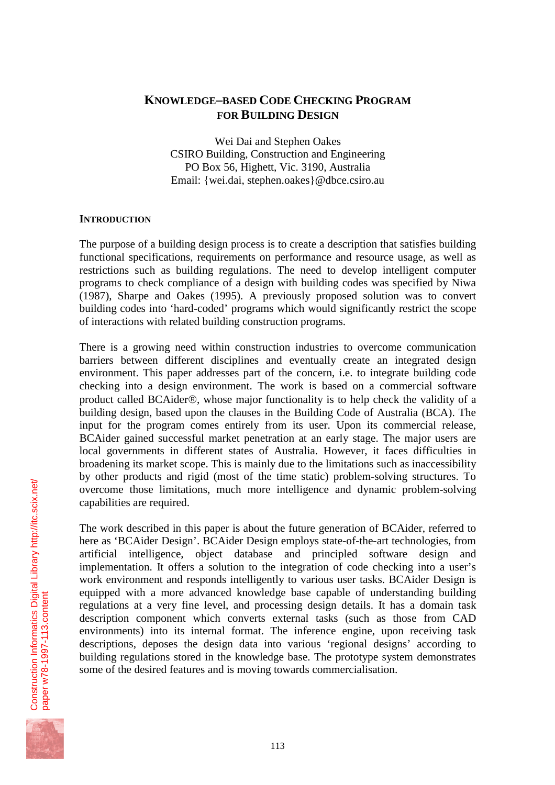# **KNOWLEDGE–BASED CODE CHECKING PROGRAM FOR BUILDING DESIGN**

Wei Dai and Stephen Oakes CSIRO Building, Construction and Engineering PO Box 56, Highett, Vic. 3190, Australia Email: {wei.dai, stephen.oakes}@dbce.csiro.au

# **INTRODUCTION**

The purpose of a building design process is to create a description that satisfies building functional specifications, requirements on performance and resource usage, as well as restrictions such as building regulations. The need to develop intelligent computer programs to check compliance of a design with building codes was specified by Niwa (1987), Sharpe and Oakes (1995). A previously proposed solution was to convert building codes into 'hard-coded' programs which would significantly restrict the scope of interactions with related building construction programs.

There is a growing need within construction industries to overcome communication barriers between different disciplines and eventually create an integrated design environment. This paper addresses part of the concern, i.e. to integrate building code checking into a design environment. The work is based on a commercial software product called BCAider®, whose major functionality is to help check the validity of a building design, based upon the clauses in the Building Code of Australia (BCA). The input for the program comes entirely from its user. Upon its commercial release, BCAider gained successful market penetration at an early stage. The major users are local governments in different states of Australia. However, it faces difficulties in broadening its market scope. This is mainly due to the limitations such as inaccessibility by other products and rigid (most of the time static) problem-solving structures. To overcome those limitations, much more intelligence and dynamic problem-solving capabilities are required.

The work described in this paper is about the future generation of BCAider, referred to here as 'BCAider Design'. BCAider Design employs state-of-the-art technologies, from artificial intelligence, object database and principled software design and implementation. It offers a solution to the integration of code checking into a user's work environment and responds intelligently to various user tasks. BCAider Design is equipped with a more advanced knowledge base capable of understanding building regulations at a very fine level, and processing design details. It has a domain task description component which converts external tasks (such as those from CAD environments) into its internal format. The inference engine, upon receiving task descriptions, deposes the design data into various 'regional designs' according to building regulations stored in the knowledge base. The prototype system demonstrates some of the desired features and is moving towards commercialisation.



[paper w78-1997-113.content](http://itc.scix.net/id.cgi/w78-1997-113.content)

[Construction Informatics Digital Library http://itc.scix.net/](http://itc.scix.net/)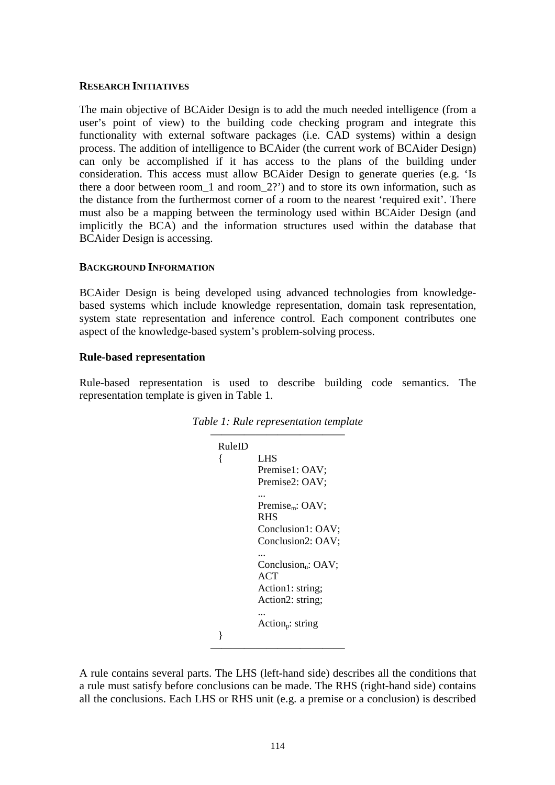#### **RESEARCH INITIATIVES**

The main objective of BCAider Design is to add the much needed intelligence (from a user's point of view) to the building code checking program and integrate this functionality with external software packages (i.e. CAD systems) within a design process. The addition of intelligence to BCAider (the current work of BCAider Design) can only be accomplished if it has access to the plans of the building under consideration. This access must allow BCAider Design to generate queries (e.g. 'Is there a door between room\_1 and room\_2?') and to store its own information, such as the distance from the furthermost corner of a room to the nearest 'required exit'. There must also be a mapping between the terminology used within BCAider Design (and implicitly the BCA) and the information structures used within the database that BCAider Design is accessing.

### **BACKGROUND INFORMATION**

BCAider Design is being developed using advanced technologies from knowledgebased systems which include knowledge representation, domain task representation, system state representation and inference control. Each component contributes one aspect of the knowledge-based system's problem-solving process.

# **Rule-based representation**

Rule-based representation is used to describe building code semantics. The representation template is given in Table 1.

| RuleID |                                   |
|--------|-----------------------------------|
|        |                                   |
| {      | LHS                               |
|        | Premise1: OAV;                    |
|        | Premise2: OAV;                    |
|        |                                   |
|        | Premise <sub>m</sub> : $OAV$ ;    |
|        | <b>RHS</b>                        |
|        | Conclusion1: OAV;                 |
|        | Conclusion2: OAV;                 |
|        |                                   |
|        | Conclusion <sub>n</sub> : $OAV$ ; |
|        |                                   |
|        | ACT                               |
|        | Action1: string;                  |
|        | Action2: string;                  |
|        |                                   |
|        | Action <sub>p</sub> : string      |
| ł      |                                   |

*Table 1: Rule representation template* 

A rule contains several parts. The LHS (left-hand side) describes all the conditions that a rule must satisfy before conclusions can be made. The RHS (right-hand side) contains all the conclusions. Each LHS or RHS unit (e.g. a premise or a conclusion) is described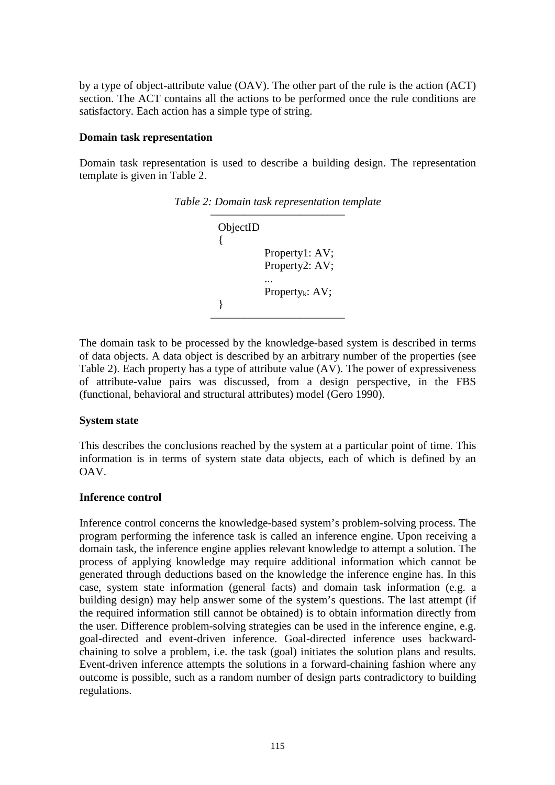by a type of object-attribute value (OAV). The other part of the rule is the action (ACT) section. The ACT contains all the actions to be performed once the rule conditions are satisfactory. Each action has a simple type of string.

#### **Domain task representation**

Domain task representation is used to describe a building design. The representation template is given in Table 2.

| ObjectID |                                  |
|----------|----------------------------------|
|          | Property1: AV;<br>Property2: AV; |
|          | Property <sub>k</sub> : $AV$ ;   |
|          |                                  |

*Table 2: Domain task representation template* 

The domain task to be processed by the knowledge-based system is described in terms of data objects. A data object is described by an arbitrary number of the properties (see Table 2). Each property has a type of attribute value (AV). The power of expressiveness of attribute-value pairs was discussed, from a design perspective, in the FBS (functional, behavioral and structural attributes) model (Gero 1990).

### **System state**

This describes the conclusions reached by the system at a particular point of time. This information is in terms of system state data objects, each of which is defined by an OAV.

### **Inference control**

Inference control concerns the knowledge-based system's problem-solving process. The program performing the inference task is called an inference engine. Upon receiving a domain task, the inference engine applies relevant knowledge to attempt a solution. The process of applying knowledge may require additional information which cannot be generated through deductions based on the knowledge the inference engine has. In this case, system state information (general facts) and domain task information (e.g. a building design) may help answer some of the system's questions. The last attempt (if the required information still cannot be obtained) is to obtain information directly from the user. Difference problem-solving strategies can be used in the inference engine, e.g. goal-directed and event-driven inference. Goal-directed inference uses backwardchaining to solve a problem, i.e. the task (goal) initiates the solution plans and results. Event-driven inference attempts the solutions in a forward-chaining fashion where any outcome is possible, such as a random number of design parts contradictory to building regulations.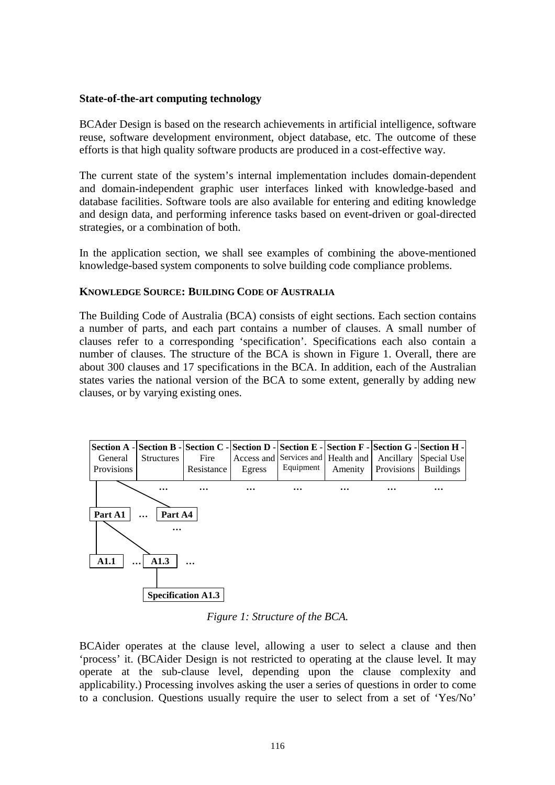#### **State-of-the-art computing technology**

BCAder Design is based on the research achievements in artificial intelligence, software reuse, software development environment, object database, etc. The outcome of these efforts is that high quality software products are produced in a cost-effective way.

The current state of the system's internal implementation includes domain-dependent and domain-independent graphic user interfaces linked with knowledge-based and database facilities. Software tools are also available for entering and editing knowledge and design data, and performing inference tasks based on event-driven or goal-directed strategies, or a combination of both.

In the application section, we shall see examples of combining the above-mentioned knowledge-based system components to solve building code compliance problems.

#### **KNOWLEDGE SOURCE: BUILDING CODE OF AUSTRALIA**

The Building Code of Australia (BCA) consists of eight sections. Each section contains a number of parts, and each part contains a number of clauses. A small number of clauses refer to a corresponding 'specification'. Specifications each also contain a number of clauses. The structure of the BCA is shown in Figure 1. Overall, there are about 300 clauses and 17 specifications in the BCA. In addition, each of the Australian states varies the national version of the BCA to some extent, generally by adding new clauses, or by varying existing ones.



*Figure 1: Structure of the BCA.*

BCAider operates at the clause level, allowing a user to select a clause and then 'process' it. (BCAider Design is not restricted to operating at the clause level. It may operate at the sub-clause level, depending upon the clause complexity and applicability.) Processing involves asking the user a series of questions in order to come to a conclusion. Questions usually require the user to select from a set of 'Yes/No'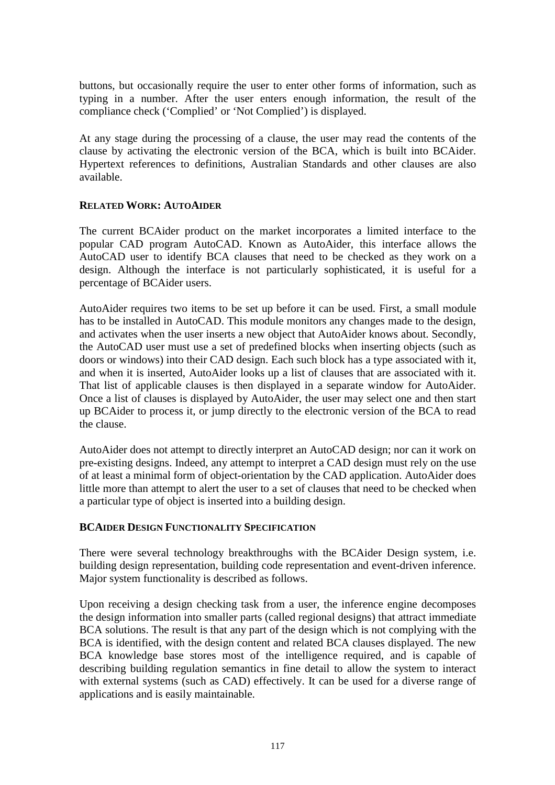buttons, but occasionally require the user to enter other forms of information, such as typing in a number. After the user enters enough information, the result of the compliance check ('Complied' or 'Not Complied') is displayed.

At any stage during the processing of a clause, the user may read the contents of the clause by activating the electronic version of the BCA, which is built into BCAider. Hypertext references to definitions, Australian Standards and other clauses are also available.

### **RELATED WORK: AUTOAIDER**

The current BCAider product on the market incorporates a limited interface to the popular CAD program AutoCAD. Known as AutoAider, this interface allows the AutoCAD user to identify BCA clauses that need to be checked as they work on a design. Although the interface is not particularly sophisticated, it is useful for a percentage of BCAider users.

AutoAider requires two items to be set up before it can be used. First, a small module has to be installed in AutoCAD. This module monitors any changes made to the design, and activates when the user inserts a new object that AutoAider knows about. Secondly, the AutoCAD user must use a set of predefined blocks when inserting objects (such as doors or windows) into their CAD design. Each such block has a type associated with it, and when it is inserted, AutoAider looks up a list of clauses that are associated with it. That list of applicable clauses is then displayed in a separate window for AutoAider. Once a list of clauses is displayed by AutoAider, the user may select one and then start up BCAider to process it, or jump directly to the electronic version of the BCA to read the clause.

AutoAider does not attempt to directly interpret an AutoCAD design; nor can it work on pre-existing designs. Indeed, any attempt to interpret a CAD design must rely on the use of at least a minimal form of object-orientation by the CAD application. AutoAider does little more than attempt to alert the user to a set of clauses that need to be checked when a particular type of object is inserted into a building design.

### **BCAIDER DESIGN FUNCTIONALITY SPECIFICATION**

There were several technology breakthroughs with the BCAider Design system, i.e. building design representation, building code representation and event-driven inference. Major system functionality is described as follows.

Upon receiving a design checking task from a user, the inference engine decomposes the design information into smaller parts (called regional designs) that attract immediate BCA solutions. The result is that any part of the design which is not complying with the BCA is identified, with the design content and related BCA clauses displayed. The new BCA knowledge base stores most of the intelligence required, and is capable of describing building regulation semantics in fine detail to allow the system to interact with external systems (such as CAD) effectively. It can be used for a diverse range of applications and is easily maintainable.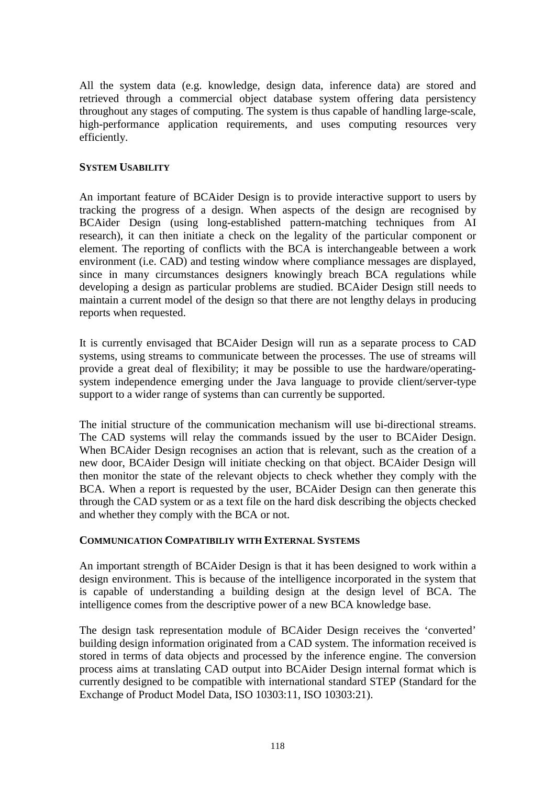All the system data (e.g. knowledge, design data, inference data) are stored and retrieved through a commercial object database system offering data persistency throughout any stages of computing. The system is thus capable of handling large-scale, high-performance application requirements, and uses computing resources very efficiently.

## **SYSTEM USABILITY**

An important feature of BCAider Design is to provide interactive support to users by tracking the progress of a design. When aspects of the design are recognised by BCAider Design (using long-established pattern-matching techniques from AI research), it can then initiate a check on the legality of the particular component or element. The reporting of conflicts with the BCA is interchangeable between a work environment (i.e. CAD) and testing window where compliance messages are displayed, since in many circumstances designers knowingly breach BCA regulations while developing a design as particular problems are studied. BCAider Design still needs to maintain a current model of the design so that there are not lengthy delays in producing reports when requested.

It is currently envisaged that BCAider Design will run as a separate process to CAD systems, using streams to communicate between the processes. The use of streams will provide a great deal of flexibility; it may be possible to use the hardware/operatingsystem independence emerging under the Java language to provide client/server-type support to a wider range of systems than can currently be supported.

The initial structure of the communication mechanism will use bi-directional streams. The CAD systems will relay the commands issued by the user to BCAider Design. When BCAider Design recognises an action that is relevant, such as the creation of a new door, BCAider Design will initiate checking on that object. BCAider Design will then monitor the state of the relevant objects to check whether they comply with the BCA. When a report is requested by the user, BCAider Design can then generate this through the CAD system or as a text file on the hard disk describing the objects checked and whether they comply with the BCA or not.

# **COMMUNICATION COMPATIBILIY WITH EXTERNAL SYSTEMS**

An important strength of BCAider Design is that it has been designed to work within a design environment. This is because of the intelligence incorporated in the system that is capable of understanding a building design at the design level of BCA. The intelligence comes from the descriptive power of a new BCA knowledge base.

The design task representation module of BCAider Design receives the 'converted' building design information originated from a CAD system. The information received is stored in terms of data objects and processed by the inference engine. The conversion process aims at translating CAD output into BCAider Design internal format which is currently designed to be compatible with international standard STEP (Standard for the Exchange of Product Model Data, ISO 10303:11, ISO 10303:21).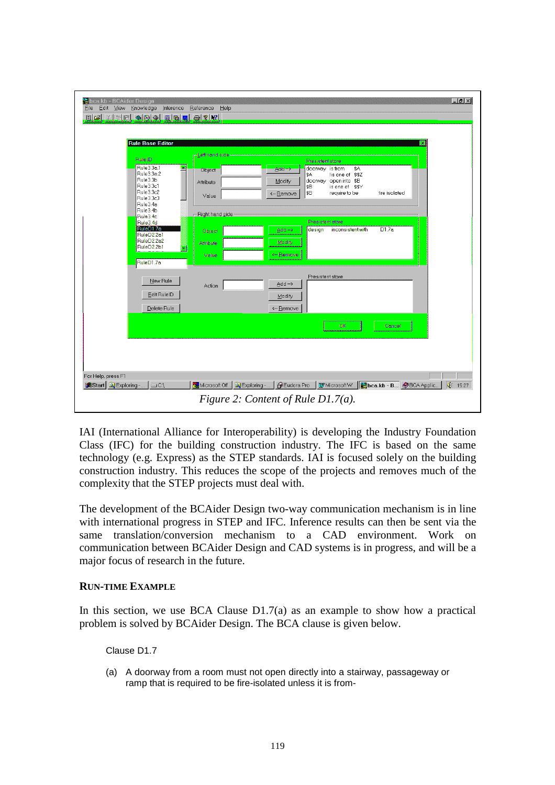| bca.kb - BCAider Design                                                                                    |                 | $  $ $\theta$ $ $ $\times$                                                                             |
|------------------------------------------------------------------------------------------------------------|-----------------|--------------------------------------------------------------------------------------------------------|
| Knowledge<br>Eile<br>Edit<br><b>View</b><br>Inference<br>$\blacksquare$ el kinki oo oo o o o o o o o o o o | Reference Help  |                                                                                                        |
|                                                                                                            |                 |                                                                                                        |
|                                                                                                            |                 |                                                                                                        |
| <b>Rule Base Editor</b>                                                                                    |                 |                                                                                                        |
| Rule ID                                                                                                    | Left hand side  | Presistent store                                                                                       |
| Rule3.3a.1<br>싀                                                                                            | Object          | \$A<br>doorway is from<br>$\triangle$ dd $\rightarrow$                                                 |
| Rule3.3a.2<br>Rule3.3b                                                                                     | Attribute       | \$A<br>lis one of \$\$Z<br>doorway open into \$B<br>Modify                                             |
| Rule3.3c1<br>Rule3.3c2                                                                                     |                 | \$B<br>is one of \$\$Y                                                                                 |
| Rule3.3c3                                                                                                  | Value           | ¦\$B<br>require to be<br>fire isolated<br><- Remove                                                    |
| Rule3.4a<br>Rule3.4b                                                                                       |                 |                                                                                                        |
| Rule3.4c<br>Rule3.4d                                                                                       | Right hand side | Presistent store                                                                                       |
| RuleD1.7a<br>RuleD <sub>2.2a1</sub>                                                                        | Object          | D1.7a<br>inconsistent with<br>design<br>Add ->                                                         |
| RuleD <sub>2.2a2</sub>                                                                                     | Attribute       | Modify                                                                                                 |
| RuleD2.2b1                                                                                                 |                 | <-Remove                                                                                               |
| RuleD1.7a                                                                                                  | Value           |                                                                                                        |
|                                                                                                            |                 |                                                                                                        |
| New Rule                                                                                                   | Action          | Presistent store<br>$\triangle$ dd ->                                                                  |
| Edit RuleID                                                                                                |                 |                                                                                                        |
|                                                                                                            |                 | Modify                                                                                                 |
| Delete Rule                                                                                                |                 | <- Remove                                                                                              |
|                                                                                                            |                 | Cancel<br>OK                                                                                           |
|                                                                                                            |                 |                                                                                                        |
|                                                                                                            |                 |                                                                                                        |
|                                                                                                            |                 |                                                                                                        |
|                                                                                                            |                 |                                                                                                        |
| For Help, press F1                                                                                         |                 |                                                                                                        |
| $\vert \equiv$ C:\<br><b>A</b> Start Q Exploring -                                                         | Microsoft Off   | <b>B</b> Eudora Pro<br>W Microsoft W   <b>Post bca.kb - B</b>   BCA Applic<br>€ 15:27<br>Q Exploring - |
|                                                                                                            |                 | Figure 2: Content of Rule $D1.7(a)$ .                                                                  |

IAI (International Alliance for Interoperability) is developing the Industry Foundation Class (IFC) for the building construction industry. The IFC is based on the same technology (e.g. Express) as the STEP standards. IAI is focused solely on the building construction industry. This reduces the scope of the projects and removes much of the complexity that the STEP projects must deal with.

The development of the BCAider Design two-way communication mechanism is in line with international progress in STEP and IFC. Inference results can then be sent via the same translation/conversion mechanism to a CAD environment. Work on communication between BCAider Design and CAD systems is in progress, and will be a major focus of research in the future.

### **RUN-TIME EXAMPLE**

In this section, we use BCA Clause  $D1.7(a)$  as an example to show how a practical problem is solved by BCAider Design. The BCA clause is given below.

Clause D1.7

(a) A doorway from a room must not open directly into a stairway, passageway or ramp that is required to be fire-isolated unless it is from-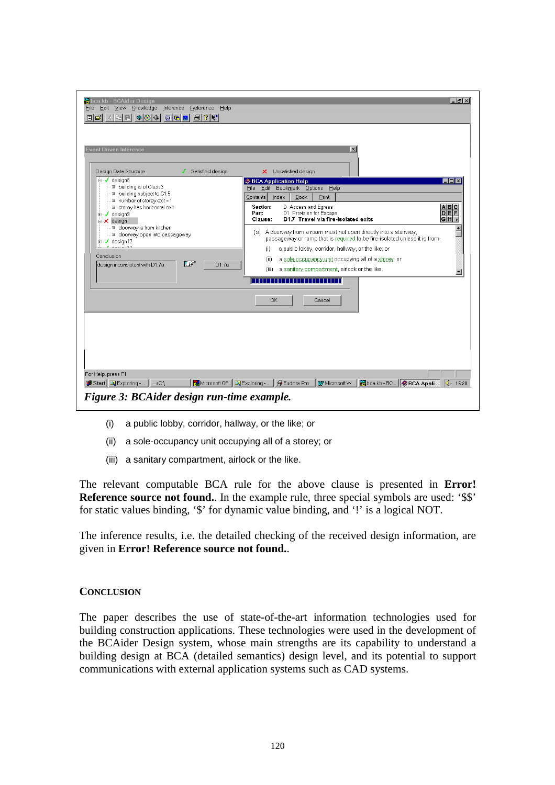| Event Driven Inference                                                                                                                                                                                                       |                                                                                                                                                                                                                                  | $\vert x \vert$                                                                                                                                               |
|------------------------------------------------------------------------------------------------------------------------------------------------------------------------------------------------------------------------------|----------------------------------------------------------------------------------------------------------------------------------------------------------------------------------------------------------------------------------|---------------------------------------------------------------------------------------------------------------------------------------------------------------|
| Design Data Structure<br><b>E-</b> design8                                                                                                                                                                                   | Satisfied design<br>s                                                                                                                                                                                                            | X Unsatisfied design                                                                                                                                          |
| ■ building is of Class3                                                                                                                                                                                                      |                                                                                                                                                                                                                                  | <b>BCA Application Help</b><br>- 0 ×<br>File Edit Bookmark Options Help                                                                                       |
| ■ building subject to C1.5                                                                                                                                                                                                   |                                                                                                                                                                                                                                  | <b>Back</b><br>Contents<br>Index<br>Print                                                                                                                     |
| III number of storey exit = 1<br>■ storey has horizontal exit<br><b>E</b> -√ design9<br>$\Box$ <b>X</b> design<br>■ doorway is from kitchen<br>■ doorway open into passageway<br><b>E</b> design12<br><b><i>Laurence</i></b> |                                                                                                                                                                                                                                  | D Access and Egress<br>ABC<br>Section:<br><b>DEF</b><br>D1 Provision for Escape<br>Part:<br>GH <sub>1</sub><br>D1.7 Travel via fire-isolated exits<br>Clause: |
|                                                                                                                                                                                                                              | $\blacktriangle$<br>(a) A doonway from a room must not open directly into a stainway,<br>passageway or ramp that is required to be fire-isolated unless it is from-<br>a public lobby, corridor, hallway, or the like; or<br>(i) |                                                                                                                                                               |
| Conclusion                                                                                                                                                                                                                   |                                                                                                                                                                                                                                  | a sole-occupancy unit occupying all of a storey, or<br>(i)                                                                                                    |
| design inconsistent with D1.7a                                                                                                                                                                                               | IF<br>D1.7a                                                                                                                                                                                                                      | a sanitary compartment, airlock or the like.<br>(iii)                                                                                                         |
|                                                                                                                                                                                                                              |                                                                                                                                                                                                                                  | OK<br>Cancel                                                                                                                                                  |
|                                                                                                                                                                                                                              |                                                                                                                                                                                                                                  |                                                                                                                                                               |

- (i) a public lobby, corridor, hallway, or the like; or
- (ii) a sole-occupancy unit occupying all of a storey; or
- (iii) a sanitary compartment, airlock or the like.

The relevant computable BCA rule for the above clause is presented in **Error! Reference source not found.**. In the example rule, three special symbols are used: '\$\$' for static values binding, '\$' for dynamic value binding, and '!' is a logical NOT.

The inference results, i.e. the detailed checking of the received design information, are given in **Error! Reference source not found.**.

#### **CONCLUSION**

The paper describes the use of state-of-the-art information technologies used for building construction applications. These technologies were used in the development of the BCAider Design system, whose main strengths are its capability to understand a building design at BCA (detailed semantics) design level, and its potential to support communications with external application systems such as CAD systems.